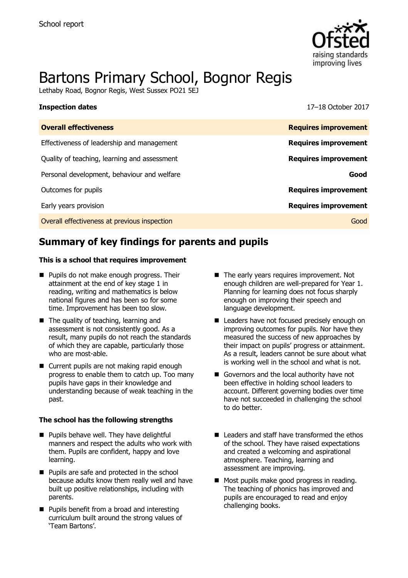

# Bartons Primary School, Bognor Regis

Lethaby Road, Bognor Regis, West Sussex PO21 5EJ

| <b>Inspection dates</b>                      | 17-18 October 2017          |
|----------------------------------------------|-----------------------------|
| <b>Overall effectiveness</b>                 | <b>Requires improvement</b> |
| Effectiveness of leadership and management   | <b>Requires improvement</b> |
| Quality of teaching, learning and assessment | <b>Requires improvement</b> |
| Personal development, behaviour and welfare  | Good                        |
| Outcomes for pupils                          | <b>Requires improvement</b> |
| Early years provision                        | <b>Requires improvement</b> |
| Overall effectiveness at previous inspection | Good                        |
|                                              |                             |

# **Summary of key findings for parents and pupils**

#### **This is a school that requires improvement**

- **Pupils do not make enough progress. Their** attainment at the end of key stage 1 in reading, writing and mathematics is below national figures and has been so for some time. Improvement has been too slow.
- The quality of teaching, learning and assessment is not consistently good. As a result, many pupils do not reach the standards of which they are capable, particularly those who are most-able.
- Current pupils are not making rapid enough progress to enable them to catch up. Too many pupils have gaps in their knowledge and understanding because of weak teaching in the past.

#### **The school has the following strengths**

- **Pupils behave well. They have delightful** manners and respect the adults who work with them. Pupils are confident, happy and love learning.
- **Pupils are safe and protected in the school** because adults know them really well and have built up positive relationships, including with parents.
- **Pupils benefit from a broad and interesting** curriculum built around the strong values of 'Team Bartons'.
- The early years requires improvement. Not enough children are well-prepared for Year 1. Planning for learning does not focus sharply enough on improving their speech and language development.
- Leaders have not focused precisely enough on improving outcomes for pupils. Nor have they measured the success of new approaches by their impact on pupils' progress or attainment. As a result, leaders cannot be sure about what is working well in the school and what is not.
- Governors and the local authority have not been effective in holding school leaders to account. Different governing bodies over time have not succeeded in challenging the school to do better.
- Leaders and staff have transformed the ethos of the school. They have raised expectations and created a welcoming and aspirational atmosphere. Teaching, learning and assessment are improving.
- Most pupils make good progress in reading. The teaching of phonics has improved and pupils are encouraged to read and enjoy challenging books.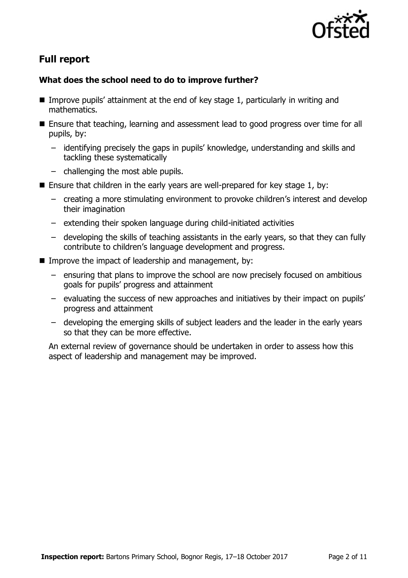

# **Full report**

### **What does the school need to do to improve further?**

- Improve pupils' attainment at the end of key stage 1, particularly in writing and mathematics.
- Ensure that teaching, learning and assessment lead to good progress over time for all pupils, by:
	- identifying precisely the gaps in pupils' knowledge, understanding and skills and tackling these systematically
	- challenging the most able pupils.
- **Ensure that children in the early years are well-prepared for key stage 1, by:** 
	- creating a more stimulating environment to provoke children's interest and develop their imagination
	- extending their spoken language during child-initiated activities
	- developing the skills of teaching assistants in the early years, so that they can fully contribute to children's language development and progress.
- **IMPROVE the impact of leadership and management, by:** 
	- ensuring that plans to improve the school are now precisely focused on ambitious goals for pupils' progress and attainment
	- evaluating the success of new approaches and initiatives by their impact on pupils' progress and attainment
	- developing the emerging skills of subject leaders and the leader in the early years so that they can be more effective.

An external review of governance should be undertaken in order to assess how this aspect of leadership and management may be improved.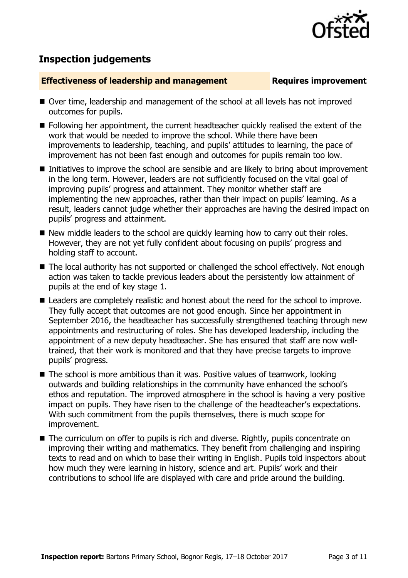

## **Inspection judgements**

#### **Effectiveness of leadership and management Requires improvement**

- Over time, leadership and management of the school at all levels has not improved outcomes for pupils.
- **Following her appointment, the current headteacher quickly realised the extent of the** work that would be needed to improve the school. While there have been improvements to leadership, teaching, and pupils' attitudes to learning, the pace of improvement has not been fast enough and outcomes for pupils remain too low.
- Initiatives to improve the school are sensible and are likely to bring about improvement in the long term. However, leaders are not sufficiently focused on the vital goal of improving pupils' progress and attainment. They monitor whether staff are implementing the new approaches, rather than their impact on pupils' learning. As a result, leaders cannot judge whether their approaches are having the desired impact on pupils' progress and attainment.
- New middle leaders to the school are quickly learning how to carry out their roles. However, they are not yet fully confident about focusing on pupils' progress and holding staff to account.
- The local authority has not supported or challenged the school effectively. Not enough action was taken to tackle previous leaders about the persistently low attainment of pupils at the end of key stage 1.
- Leaders are completely realistic and honest about the need for the school to improve. They fully accept that outcomes are not good enough. Since her appointment in September 2016, the headteacher has successfully strengthened teaching through new appointments and restructuring of roles. She has developed leadership, including the appointment of a new deputy headteacher. She has ensured that staff are now welltrained, that their work is monitored and that they have precise targets to improve pupils' progress.
- $\blacksquare$  The school is more ambitious than it was. Positive values of teamwork, looking outwards and building relationships in the community have enhanced the school's ethos and reputation. The improved atmosphere in the school is having a very positive impact on pupils. They have risen to the challenge of the headteacher's expectations. With such commitment from the pupils themselves, there is much scope for improvement.
- The curriculum on offer to pupils is rich and diverse. Rightly, pupils concentrate on improving their writing and mathematics. They benefit from challenging and inspiring texts to read and on which to base their writing in English. Pupils told inspectors about how much they were learning in history, science and art. Pupils' work and their contributions to school life are displayed with care and pride around the building.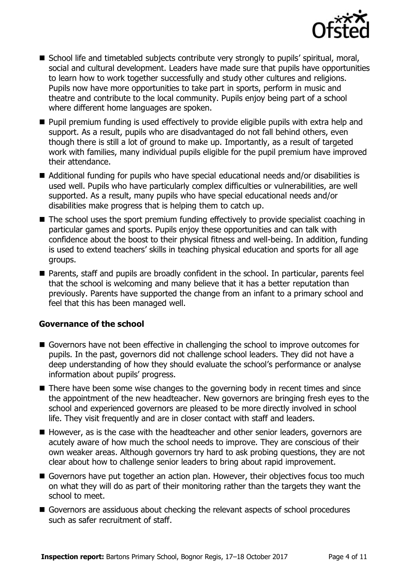

- School life and timetabled subjects contribute very strongly to pupils' spiritual, moral, social and cultural development. Leaders have made sure that pupils have opportunities to learn how to work together successfully and study other cultures and religions. Pupils now have more opportunities to take part in sports, perform in music and theatre and contribute to the local community. Pupils enjoy being part of a school where different home languages are spoken.
- **Pupil premium funding is used effectively to provide eligible pupils with extra help and** support. As a result, pupils who are disadvantaged do not fall behind others, even though there is still a lot of ground to make up. Importantly, as a result of targeted work with families, many individual pupils eligible for the pupil premium have improved their attendance.
- Additional funding for pupils who have special educational needs and/or disabilities is used well. Pupils who have particularly complex difficulties or vulnerabilities, are well supported. As a result, many pupils who have special educational needs and/or disabilities make progress that is helping them to catch up.
- The school uses the sport premium funding effectively to provide specialist coaching in particular games and sports. Pupils enjoy these opportunities and can talk with confidence about the boost to their physical fitness and well-being. In addition, funding is used to extend teachers' skills in teaching physical education and sports for all age groups.
- Parents, staff and pupils are broadly confident in the school. In particular, parents feel that the school is welcoming and many believe that it has a better reputation than previously. Parents have supported the change from an infant to a primary school and feel that this has been managed well.

#### **Governance of the school**

- Governors have not been effective in challenging the school to improve outcomes for pupils. In the past, governors did not challenge school leaders. They did not have a deep understanding of how they should evaluate the school's performance or analyse information about pupils' progress.
- There have been some wise changes to the governing body in recent times and since the appointment of the new headteacher. New governors are bringing fresh eyes to the school and experienced governors are pleased to be more directly involved in school life. They visit frequently and are in closer contact with staff and leaders.
- However, as is the case with the headteacher and other senior leaders, governors are acutely aware of how much the school needs to improve. They are conscious of their own weaker areas. Although governors try hard to ask probing questions, they are not clear about how to challenge senior leaders to bring about rapid improvement.
- Governors have put together an action plan. However, their objectives focus too much on what they will do as part of their monitoring rather than the targets they want the school to meet.
- Governors are assiduous about checking the relevant aspects of school procedures such as safer recruitment of staff.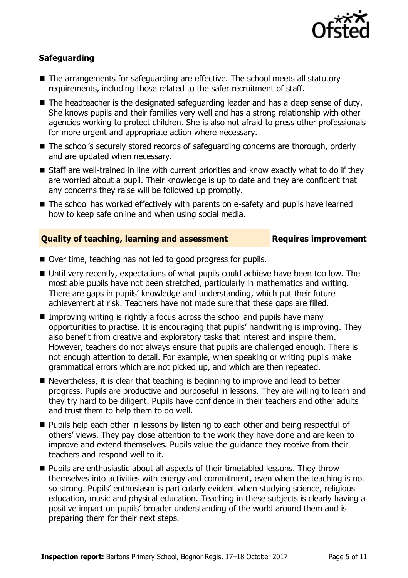

### **Safeguarding**

- The arrangements for safeguarding are effective. The school meets all statutory requirements, including those related to the safer recruitment of staff.
- The headteacher is the designated safeguarding leader and has a deep sense of duty. She knows pupils and their families very well and has a strong relationship with other agencies working to protect children. She is also not afraid to press other professionals for more urgent and appropriate action where necessary.
- The school's securely stored records of safeguarding concerns are thorough, orderly and are updated when necessary.
- Staff are well-trained in line with current priorities and know exactly what to do if they are worried about a pupil. Their knowledge is up to date and they are confident that any concerns they raise will be followed up promptly.
- The school has worked effectively with parents on e-safety and pupils have learned how to keep safe online and when using social media.

#### **Quality of teaching, learning and assessment Fig. 2.1 Requires improvement**

- Over time, teaching has not led to good progress for pupils.
- Until very recently, expectations of what pupils could achieve have been too low. The most able pupils have not been stretched, particularly in mathematics and writing. There are gaps in pupils' knowledge and understanding, which put their future achievement at risk. Teachers have not made sure that these gaps are filled.
- Improving writing is rightly a focus across the school and pupils have many opportunities to practise. It is encouraging that pupils' handwriting is improving. They also benefit from creative and exploratory tasks that interest and inspire them. However, teachers do not always ensure that pupils are challenged enough. There is not enough attention to detail. For example, when speaking or writing pupils make grammatical errors which are not picked up, and which are then repeated.
- Nevertheless, it is clear that teaching is beginning to improve and lead to better progress. Pupils are productive and purposeful in lessons. They are willing to learn and they try hard to be diligent. Pupils have confidence in their teachers and other adults and trust them to help them to do well.
- **Pupils help each other in lessons by listening to each other and being respectful of** others' views. They pay close attention to the work they have done and are keen to improve and extend themselves. Pupils value the guidance they receive from their teachers and respond well to it.
- **Pupils are enthusiastic about all aspects of their timetabled lessons. They throw** themselves into activities with energy and commitment, even when the teaching is not so strong. Pupils' enthusiasm is particularly evident when studying science, religious education, music and physical education. Teaching in these subjects is clearly having a positive impact on pupils' broader understanding of the world around them and is preparing them for their next steps.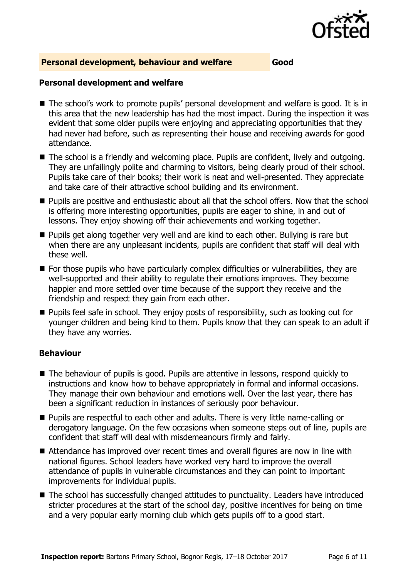

#### **Personal development, behaviour and welfare Good**

#### **Personal development and welfare**

- The school's work to promote pupils' personal development and welfare is good. It is in this area that the new leadership has had the most impact. During the inspection it was evident that some older pupils were enjoying and appreciating opportunities that they had never had before, such as representing their house and receiving awards for good attendance.
- The school is a friendly and welcoming place. Pupils are confident, lively and outgoing. They are unfailingly polite and charming to visitors, being clearly proud of their school. Pupils take care of their books; their work is neat and well-presented. They appreciate and take care of their attractive school building and its environment.
- **Pupils are positive and enthusiastic about all that the school offers. Now that the school** is offering more interesting opportunities, pupils are eager to shine, in and out of lessons. They enjoy showing off their achievements and working together.
- **Pupils get along together very well and are kind to each other. Bullying is rare but** when there are any unpleasant incidents, pupils are confident that staff will deal with these well.
- **For those pupils who have particularly complex difficulties or vulnerabilities, they are** well-supported and their ability to regulate their emotions improves. They become happier and more settled over time because of the support they receive and the friendship and respect they gain from each other.
- **Pupils feel safe in school. They enjoy posts of responsibility, such as looking out for** younger children and being kind to them. Pupils know that they can speak to an adult if they have any worries.

#### **Behaviour**

- The behaviour of pupils is good. Pupils are attentive in lessons, respond quickly to instructions and know how to behave appropriately in formal and informal occasions. They manage their own behaviour and emotions well. Over the last year, there has been a significant reduction in instances of seriously poor behaviour.
- **Pupils are respectful to each other and adults. There is very little name-calling or** derogatory language. On the few occasions when someone steps out of line, pupils are confident that staff will deal with misdemeanours firmly and fairly.
- Attendance has improved over recent times and overall figures are now in line with national figures. School leaders have worked very hard to improve the overall attendance of pupils in vulnerable circumstances and they can point to important improvements for individual pupils.
- The school has successfully changed attitudes to punctuality. Leaders have introduced stricter procedures at the start of the school day, positive incentives for being on time and a very popular early morning club which gets pupils off to a good start.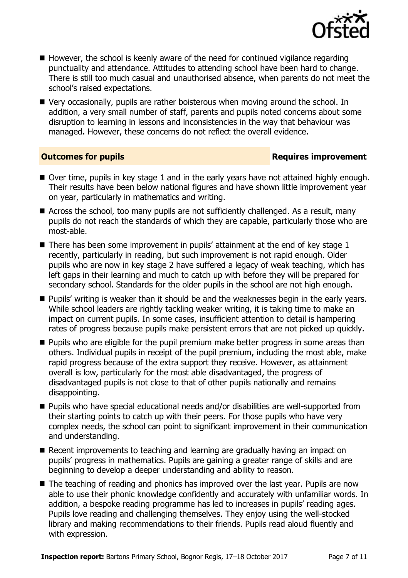

- $\blacksquare$  However, the school is keenly aware of the need for continued vigilance regarding punctuality and attendance. Attitudes to attending school have been hard to change. There is still too much casual and unauthorised absence, when parents do not meet the school's raised expectations.
- Very occasionally, pupils are rather boisterous when moving around the school. In addition, a very small number of staff, parents and pupils noted concerns about some disruption to learning in lessons and inconsistencies in the way that behaviour was managed. However, these concerns do not reflect the overall evidence.

#### **Outcomes for pupils Requires improvement**

- Over time, pupils in key stage 1 and in the early years have not attained highly enough. Their results have been below national figures and have shown little improvement year on year, particularly in mathematics and writing.
- Across the school, too many pupils are not sufficiently challenged. As a result, many pupils do not reach the standards of which they are capable, particularly those who are most-able.
- $\blacksquare$  There has been some improvement in pupils' attainment at the end of key stage 1 recently, particularly in reading, but such improvement is not rapid enough. Older pupils who are now in key stage 2 have suffered a legacy of weak teaching, which has left gaps in their learning and much to catch up with before they will be prepared for secondary school. Standards for the older pupils in the school are not high enough.
- **Pupils' writing is weaker than it should be and the weaknesses begin in the early years.** While school leaders are rightly tackling weaker writing, it is taking time to make an impact on current pupils. In some cases, insufficient attention to detail is hampering rates of progress because pupils make persistent errors that are not picked up quickly.
- **Pupils who are eligible for the pupil premium make better progress in some areas than** others. Individual pupils in receipt of the pupil premium, including the most able, make rapid progress because of the extra support they receive. However, as attainment overall is low, particularly for the most able disadvantaged, the progress of disadvantaged pupils is not close to that of other pupils nationally and remains disappointing.
- Pupils who have special educational needs and/or disabilities are well-supported from their starting points to catch up with their peers. For those pupils who have very complex needs, the school can point to significant improvement in their communication and understanding.
- Recent improvements to teaching and learning are gradually having an impact on pupils' progress in mathematics. Pupils are gaining a greater range of skills and are beginning to develop a deeper understanding and ability to reason.
- The teaching of reading and phonics has improved over the last year. Pupils are now able to use their phonic knowledge confidently and accurately with unfamiliar words. In addition, a bespoke reading programme has led to increases in pupils' reading ages. Pupils love reading and challenging themselves. They enjoy using the well-stocked library and making recommendations to their friends. Pupils read aloud fluently and with expression.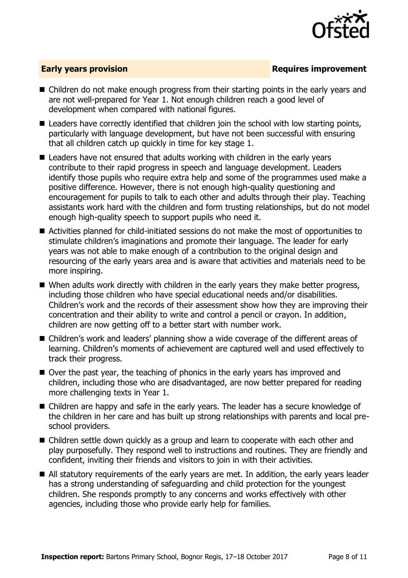

### **Early years provision**

- Children do not make enough progress from their starting points in the early years and are not well-prepared for Year 1. Not enough children reach a good level of development when compared with national figures.
- Leaders have correctly identified that children join the school with low starting points, particularly with language development, but have not been successful with ensuring that all children catch up quickly in time for key stage 1.
- Leaders have not ensured that adults working with children in the early years contribute to their rapid progress in speech and language development. Leaders identify those pupils who require extra help and some of the programmes used make a positive difference. However, there is not enough high-quality questioning and encouragement for pupils to talk to each other and adults through their play. Teaching assistants work hard with the children and form trusting relationships, but do not model enough high-quality speech to support pupils who need it.
- Activities planned for child-initiated sessions do not make the most of opportunities to stimulate children's imaginations and promote their language. The leader for early years was not able to make enough of a contribution to the original design and resourcing of the early years area and is aware that activities and materials need to be more inspiring.
- When adults work directly with children in the early years they make better progress, including those children who have special educational needs and/or disabilities. Children's work and the records of their assessment show how they are improving their concentration and their ability to write and control a pencil or crayon. In addition, children are now getting off to a better start with number work.
- Children's work and leaders' planning show a wide coverage of the different areas of learning. Children's moments of achievement are captured well and used effectively to track their progress.
- Over the past year, the teaching of phonics in the early years has improved and children, including those who are disadvantaged, are now better prepared for reading more challenging texts in Year 1.
- Children are happy and safe in the early years. The leader has a secure knowledge of the children in her care and has built up strong relationships with parents and local preschool providers.
- Children settle down quickly as a group and learn to cooperate with each other and play purposefully. They respond well to instructions and routines. They are friendly and confident, inviting their friends and visitors to join in with their activities.
- All statutory requirements of the early years are met. In addition, the early years leader has a strong understanding of safeguarding and child protection for the youngest children. She responds promptly to any concerns and works effectively with other agencies, including those who provide early help for families.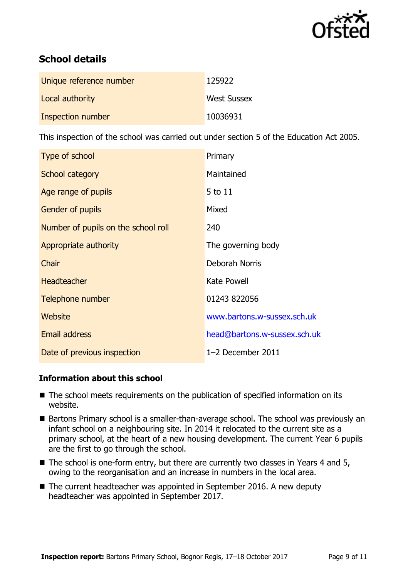

# **School details**

| Unique reference number | 125922             |
|-------------------------|--------------------|
| Local authority         | <b>West Sussex</b> |
| Inspection number       | 10036931           |

This inspection of the school was carried out under section 5 of the Education Act 2005.

| Type of school                      | Primary                      |
|-------------------------------------|------------------------------|
| School category                     | Maintained                   |
| Age range of pupils                 | 5 to 11                      |
| Gender of pupils                    | Mixed                        |
| Number of pupils on the school roll | 240                          |
| Appropriate authority               | The governing body           |
| Chair                               | Deborah Norris               |
| <b>Headteacher</b>                  | <b>Kate Powell</b>           |
| Telephone number                    | 01243 822056                 |
| Website                             | www.bartons.w-sussex.sch.uk  |
| <b>Email address</b>                | head@bartons.w-sussex.sch.uk |
| Date of previous inspection         | 1-2 December 2011            |

### **Information about this school**

- The school meets requirements on the publication of specified information on its website.
- Bartons Primary school is a smaller-than-average school. The school was previously an infant school on a neighbouring site. In 2014 it relocated to the current site as a primary school, at the heart of a new housing development. The current Year 6 pupils are the first to go through the school.
- The school is one-form entry, but there are currently two classes in Years 4 and 5, owing to the reorganisation and an increase in numbers in the local area.
- The current headteacher was appointed in September 2016. A new deputy headteacher was appointed in September 2017.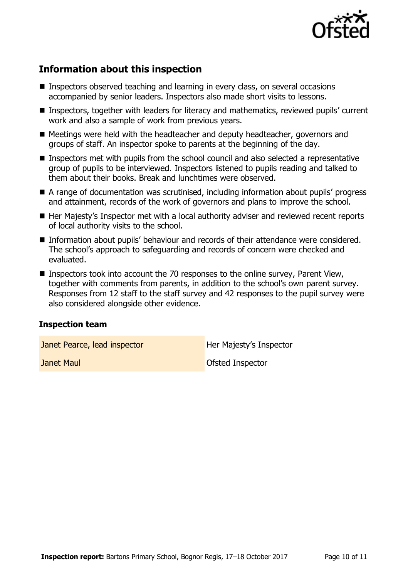

# **Information about this inspection**

- **Inspectors observed teaching and learning in every class, on several occasions** accompanied by senior leaders. Inspectors also made short visits to lessons.
- Inspectors, together with leaders for literacy and mathematics, reviewed pupils' current work and also a sample of work from previous years.
- Meetings were held with the headteacher and deputy headteacher, governors and groups of staff. An inspector spoke to parents at the beginning of the day.
- **Inspectors met with pupils from the school council and also selected a representative** group of pupils to be interviewed. Inspectors listened to pupils reading and talked to them about their books. Break and lunchtimes were observed.
- A range of documentation was scrutinised, including information about pupils' progress and attainment, records of the work of governors and plans to improve the school.
- Her Majesty's Inspector met with a local authority adviser and reviewed recent reports of local authority visits to the school.
- Information about pupils' behaviour and records of their attendance were considered. The school's approach to safeguarding and records of concern were checked and evaluated.
- Inspectors took into account the 70 responses to the online survey, Parent View, together with comments from parents, in addition to the school's own parent survey. Responses from 12 staff to the staff survey and 42 responses to the pupil survey were also considered alongside other evidence.

### **Inspection team**

Janet Pearce, lead inspector **Her Majesty's Inspector** 

**Janet Maul Contract Contract Contract Contract Contract Contract Contract Contract Contract Contract Contract Contract Contract Contract Contract Contract Contract Contract Contract Contract Contract Contract Contract Con**